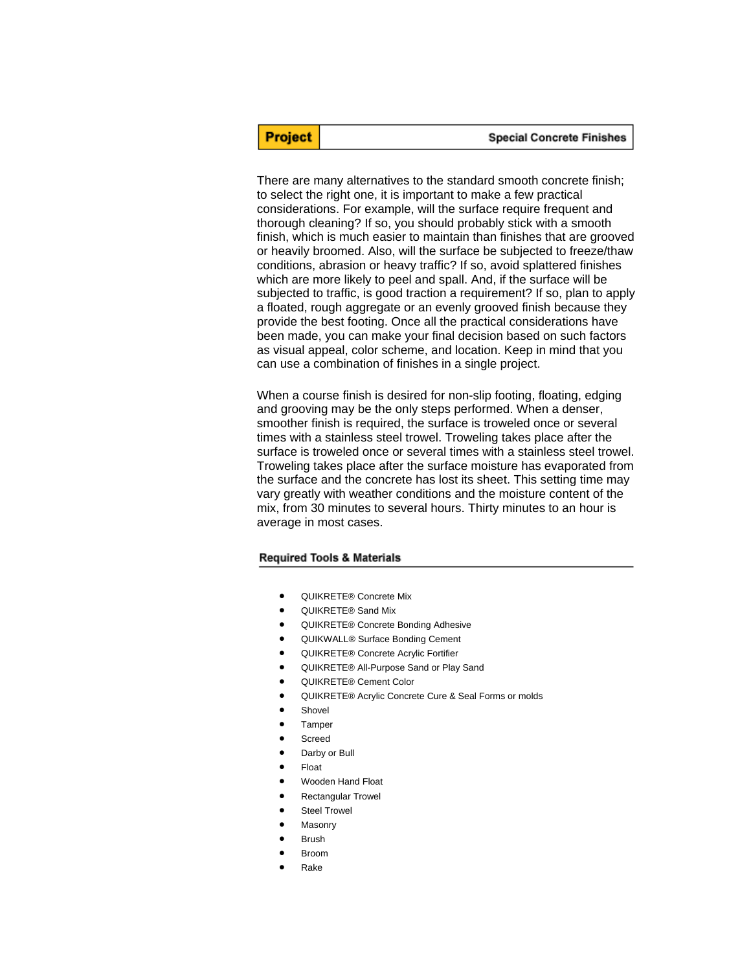There are many alternatives to the standard smooth concrete finish; to select the right one, it is important to make a few practical considerations. For example, will the surface require frequent and thorough cleaning? If so, you should probably stick with a smooth finish, which is much easier to maintain than finishes that are grooved or heavily broomed. Also, will the surface be subjected to freeze/thaw conditions, abrasion or heavy traffic? If so, avoid splattered finishes which are more likely to peel and spall. And, if the surface will be subjected to traffic, is good traction a requirement? If so, plan to apply a floated, rough aggregate or an evenly grooved finish because they provide the best footing. Once all the practical considerations have been made, you can make your final decision based on such factors as visual appeal, color scheme, and location. Keep in mind that you can use a combination of finishes in a single project.

When a course finish is desired for non-slip footing, floating, edging and grooving may be the only steps performed. When a denser, smoother finish is required, the surface is troweled once or several times with a stainless steel trowel. Troweling takes place after the surface is troweled once or several times with a stainless steel trowel. Troweling takes place after the surface moisture has evaporated from the surface and the concrete has lost its sheet. This setting time may vary greatly with weather conditions and the moisture content of the mix, from 30 minutes to several hours. Thirty minutes to an hour is average in most cases.

#### **Required Tools & Materials**

**Project** 

- QUIKRETE® Concrete Mix
- QUIKRETE® Sand Mix
- QUIKRETE® Concrete Bonding Adhesive
- QUIKWALL® Surface Bonding Cement
- QUIKRETE® Concrete Acrylic Fortifier
- QUIKRETE® All-Purpose Sand or Play Sand
- QUIKRETE® Cement Color
- QUIKRETE® Acrylic Concrete Cure & Seal Forms or molds
- Shovel
- **Tamper**
- **Screed**
- Darby or Bull
- Float
- Wooden Hand Float
- Rectangular Trowel
- **Steel Trowel**
- **Masonry**
- **Brush**
- Broom
- Rake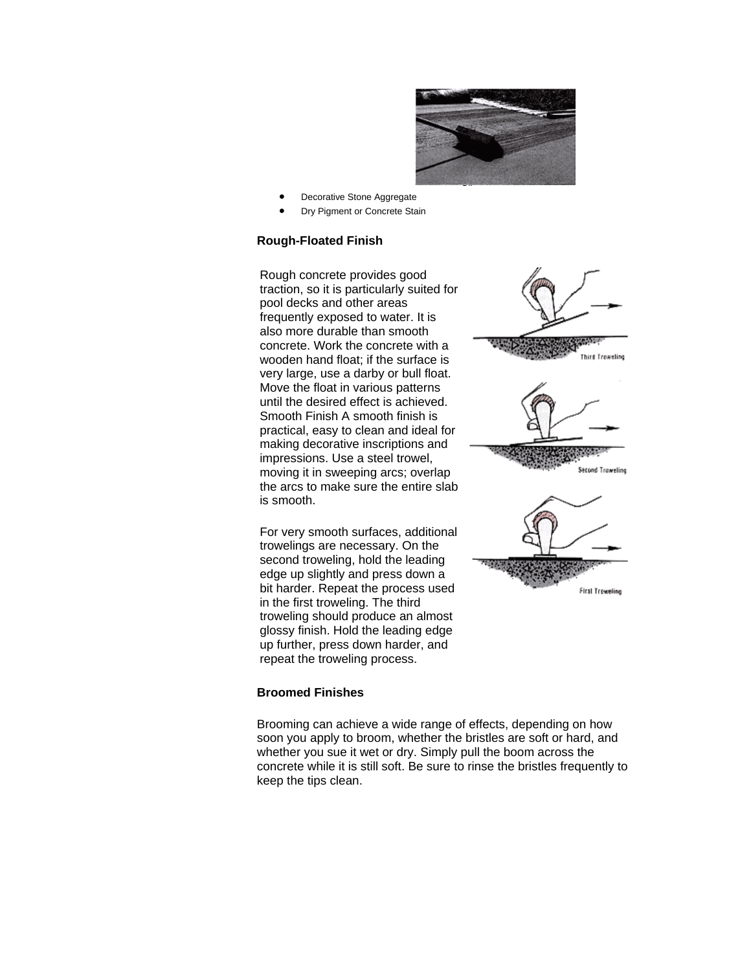

- Decorative Stone Aggregate
- Dry Pigment or Concrete Stain

## **Rough-Floated Finish**

Rough concrete provides good traction, so it is particularly suited for pool decks and other areas frequently exposed to water. It is also more durable than smooth concrete. Work the concrete with a wooden hand float; if the surface is very large, use a darby or bull float. Move the float in various patterns until the desired effect is achieved. Smooth Finish A smooth finish is practical, easy to clean and ideal for making decorative inscriptions and impressions. Use a steel trowel, moving it in sweeping arcs; overlap the arcs to make sure the entire slab is smooth.

For very smooth surfaces, additional trowelings are necessary. On the second troweling, hold the leading edge up slightly and press down a bit harder. Repeat the process used in the first troweling. The third troweling should produce an almost glossy finish. Hold the leading edge up further, press down harder, and repeat the troweling process.

## **Broomed Finishes**

Brooming can achieve a wide range of effects, depending on how soon you apply to broom, whether the bristles are soft or hard, and whether you sue it wet or dry. Simply pull the boom across the concrete while it is still soft. Be sure to rinse the bristles frequently to keep the tips clean.

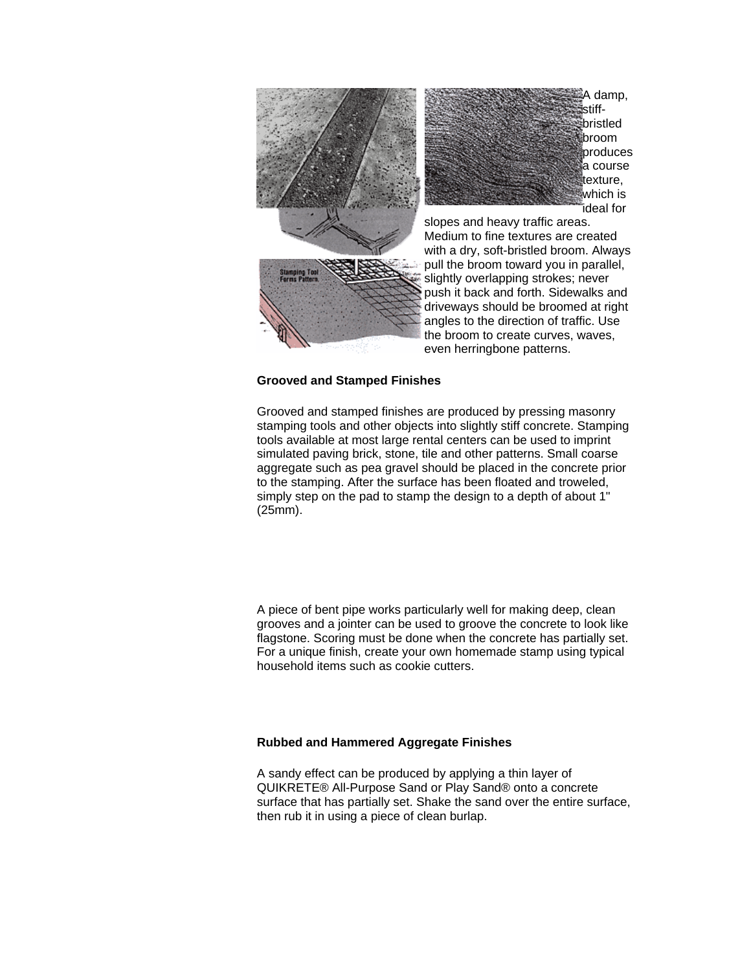

### **Grooved and Stamped Finishes**

Grooved and stamped finishes are produced by pressing masonry stamping tools and other objects into slightly stiff concrete. Stamping tools available at most large rental centers can be used to imprint simulated paving brick, stone, tile and other patterns. Small coarse aggregate such as pea gravel should be placed in the concrete prior to the stamping. After the surface has been floated and troweled, simply step on the pad to stamp the design to a depth of about 1" (25mm).

A piece of bent pipe works particularly well for making deep, clean grooves and a jointer can be used to groove the concrete to look like flagstone. Scoring must be done when the concrete has partially set. For a unique finish, create your own homemade stamp using typical household items such as cookie cutters.

### **Rubbed and Hammered Aggregate Finishes**

A sandy effect can be produced by applying a thin layer of QUIKRETE® All-Purpose Sand or Play Sand® onto a concrete surface that has partially set. Shake the sand over the entire surface, then rub it in using a piece of clean burlap.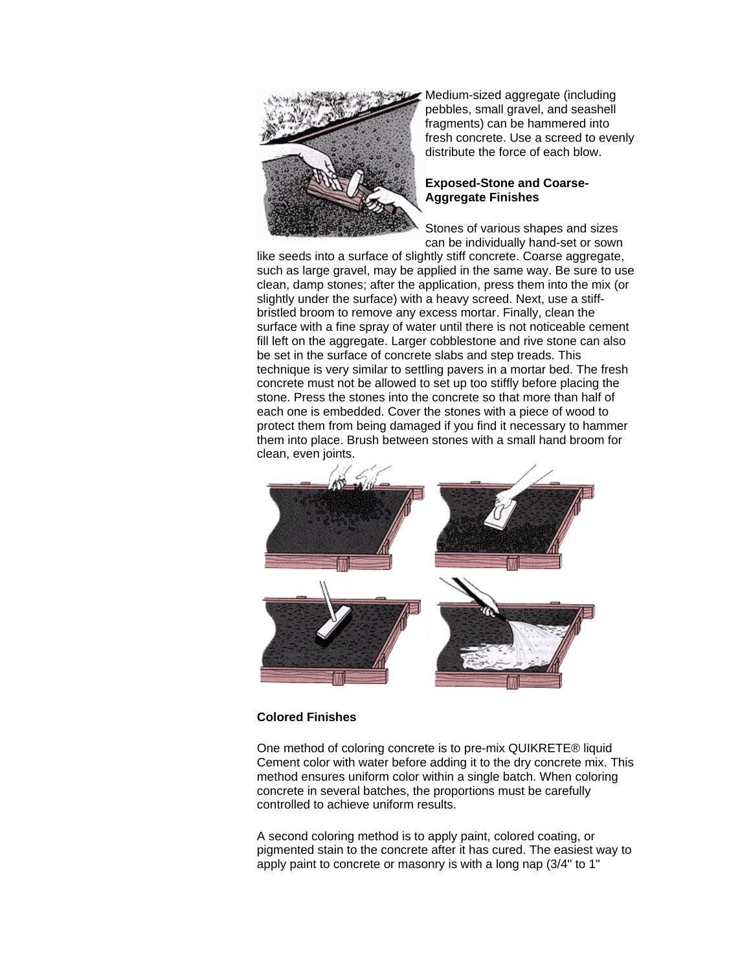

Medium-sized aggregate (including pebbles, small gravel, and seashell fragments) can be hammered into fresh concrete. Use a screed to evenly distribute the force of each blow.

## **Exposed-Stone and Coarse-Aggregate Finishes**

Stones of various shapes and sizes can be individually hand-set or sown

like seeds into a surface of slightly stiff concrete. Coarse aggregate, such as large gravel, may be applied in the same way. Be sure to use clean, damp stones; after the application, press them into the mix (or slightly under the surface) with a heavy screed. Next, use a stiffbristled broom to remove any excess mortar. Finally, clean the surface with a fine spray of water until there is not noticeable cement fill left on the aggregate. Larger cobblestone and rive stone can also be set in the surface of concrete slabs and step treads. This technique is very similar to settling pavers in a mortar bed. The fresh concrete must not be allowed to set up too stiffly before placing the stone. Press the stones into the concrete so that more than half of each one is embedded. Cover the stones with a piece of wood to protect them from being damaged if you find it necessary to hammer them into place. Brush between stones with a small hand broom for clean, even joints.



## **Colored Finishes**

One method of coloring concrete is to pre-mix QUIKRETE® liquid Cement color with water before adding it to the dry concrete mix. This method ensures uniform color within a single batch. When coloring concrete in several batches, the proportions must be carefully controlled to achieve uniform results.

A second coloring method is to apply paint, colored coating, or pigmented stain to the concrete after it has cured. The easiest way to apply paint to concrete or masonry is with a long nap (3/4" to 1"